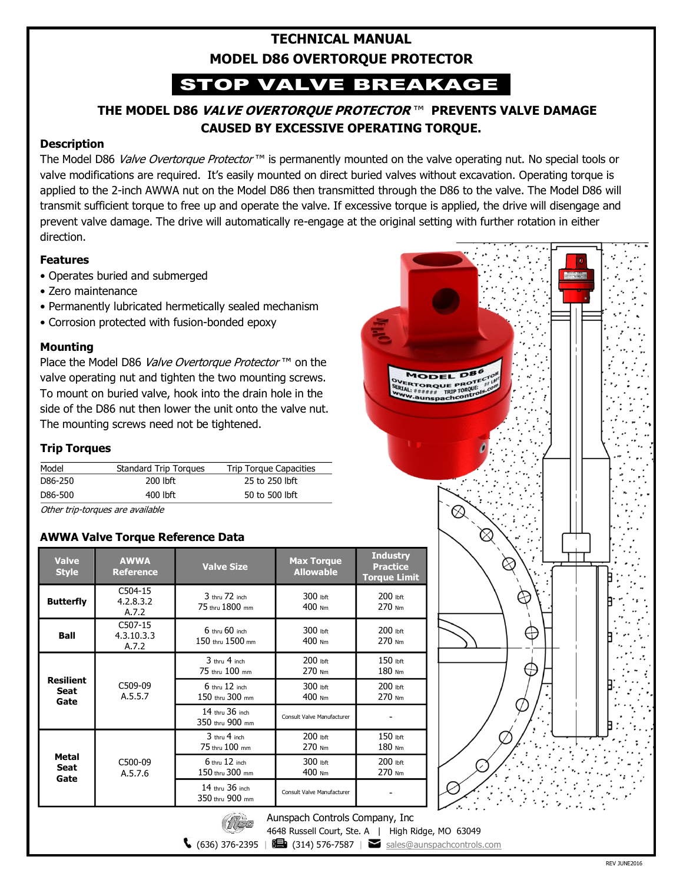### **TECHNICAL MANUAL MODEL D86 OVERTORQUE PROTECTOR**

# STOP VALVE BREAKAGE

### **THE MODEL D86 VALVE OVERTORQUE PROTECTOR** ™ **PREVENTS VALVE DAMAGE CAUSED BY EXCESSIVE OPERATING TORQUE.**

### **Description**

The Model D86 Valve Overtorque Protector<sup>™</sup> is permanently mounted on the valve operating nut. No special tools or valve modifications are required. It's easily mounted on direct buried valves without excavation. Operating torque is applied to the 2-inch AWWA nut on the Model D86 then transmitted through the D86 to the valve. The Model D86 will transmit sufficient torque to free up and operate the valve. If excessive torque is applied, the drive will disengage and prevent valve damage. The drive will automatically re-engage at the original setting with further rotation in either direction.

#### **Features**

- Operates buried and submerged
- Zero maintenance
- Permanently lubricated hermetically sealed mechanism
- Corrosion protected with fusion-bonded epoxy

#### **Mounting**

Place the Model D86 Valve Overtorque Protector ™ on the valve operating nut and tighten the two mounting screws. To mount on buried valve, hook into the drain hole in the side of the D86 nut then lower the unit onto the valve nut. The mounting screws need not be tightened.

### **Trip Torques**

| Model   | <b>Standard Trip Torques</b> | Trip Torque Capacities |
|---------|------------------------------|------------------------|
| D86-250 | 200 lbft                     | 25 to 250 lbft         |
| D86-500 | 400 lbft                     | 50 to 500 lbft         |

Other trip-torques are available

### **AWWA Valve Torque Reference Data**

| <b>Valve</b><br><b>Style</b>                                   | <b>AWWA</b><br><b>Reference</b> | <b>Valve Size</b>                      | <b>Max Torque</b><br><b>Allowable</b> | <b>Industry</b><br><b>Practice</b><br><b>Torque Limit</b> |  |
|----------------------------------------------------------------|---------------------------------|----------------------------------------|---------------------------------------|-----------------------------------------------------------|--|
| <b>Butterfly</b>                                               | C504-15<br>4.2.8.3.2<br>A.7.2   | $3$ thru $72$ inch<br>75 thru 1800 mm  | 300 lbft<br>400 Nm                    | 200 lbft<br>270 Nm                                        |  |
| <b>Ball</b>                                                    | C507-15<br>4.3.10.3.3<br>A.7.2  | $6$ thru $60$ inch<br>150 thru 1500 mm | 300 lbft<br>400 Nm                    | 200 lbft<br>270 Nm                                        |  |
| <b>Resilient</b><br>Seat<br>Gate                               | C509-09<br>A.5.5.7              | 3 thru 4 inch<br>75 thru 100 mm        | $200$ lbft<br>270 Nm                  | 150 lbft<br>180 Nm                                        |  |
|                                                                |                                 | $6$ thru $12$ inch<br>150 thru 300 mm  | 300 lbft<br>400 Nm                    | 200 lbft<br>270 Nm                                        |  |
|                                                                |                                 | 14 thru 36 inch<br>350 thru 900 mm     | Consult Valve Manufacturer            |                                                           |  |
| <b>Metal</b><br>Seat<br>Gate                                   | C500-09<br>A.5.7.6              | 3 thru 4 inch<br>75 thru 100 mm        | 200 lbft<br>270 Nm                    | 150 lbft<br>180 Nm                                        |  |
|                                                                |                                 | $6$ thru $12$ inch<br>150 thru 300 mm  | 300 lbft<br>400 Nm                    | 200 lbft<br>270 Nm                                        |  |
|                                                                |                                 | 14 thru 36 inch<br>350 thru 900 mm     | <b>Consult Valve Manufacturer</b>     |                                                           |  |
| $\left( \frac{1}{2} \right)$<br>Aunenach Controle Company Inc. |                                 |                                        |                                       |                                                           |  |

 $1200$ 



Aunspach Controls Company, Inc

4648 Russell Court, Ste. A | High Ridge, MO 63049

 $\bigcup$  (636) 376-2395 |  $\bigcup$  (314) 576-7587 | sales@aunspachcontrols.com